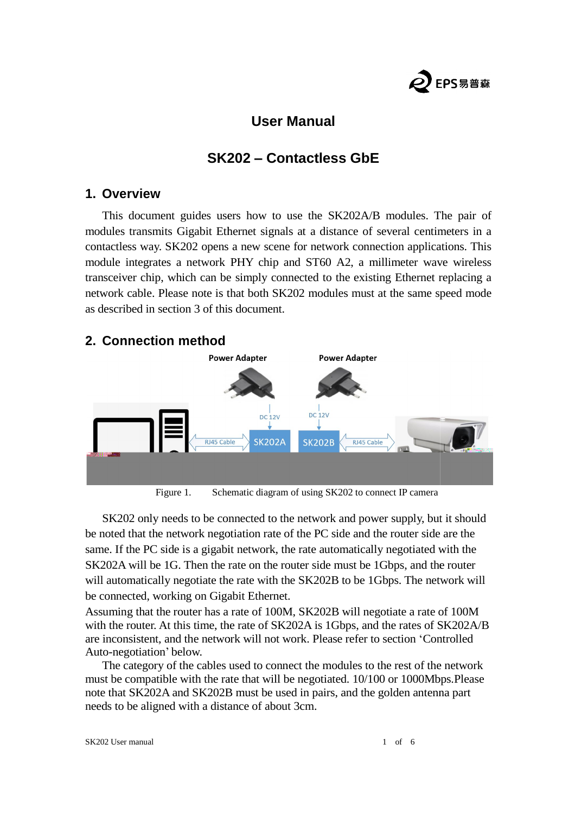

## **User Manual**

# **SK202 – Contactless GbE**

#### **1. Overview**

This document guides users how to use the SK202A/B modules. The pair of modules transmits Gigabit Ethernet signals at a distance of several centimeters in a contactless way. SK202 opens a new scene for network connection applications. This module integrates a network PHY chip and ST60 A2, a millimeter wave wireless transceiver chip, which can be simply connected to the existing Ethernet replacing network cable. Please note is that both SK202 modules must at the same speed mode as described in section 3 of this document. opens a new scene for network connection applications. This<br>work PHY chip and ST60 A2, a millimeter wave wireless<br>can be simply connected to the existing Ethernet replacing a

### **2. Connection method**



Figure 1. Schematic diagram of using SK202 to connect IP camera

SK202 only needs to be connected to the network and power supply, but it should noted that the network negotiation rate of the PC side and the router side are the be noted that the network negotiation rate of the PC side and the router side are the be noted that the network negotiation rate of the PC side and the router side are the same. If the PC side is a gigabit network, the rate automatically negotiated with the SK202A will be 1G. Then the rate on the router side must be 1Gbps, and the router will automatically negotiate the rate with the SK202B to be 1Gbps. The network will be connected, working on Gigabit Ethernet. SK202A will be 1G. Then the rate on the router side must be 1Gbps, and the router<br>will automatically negotiate the rate with the SK202B to be 1Gbps. The network will<br>be connected, working on Gigabit Ethernet.<br>Assuming that

Assuming that the router has a rate of 100M, SK202B will negotiate a rate of 100M are inconsistent, and the network will not work. Please refer to section 'Controlled Auto-negotiation' below. consistent, and the network will not work. Please refer to section 'Controlled<br>negotiation' below.<br>he category of the cables used to connect the modules to the rest of the network<br>be compatible with the rate that will be n

The category of the cables used to connect the modules to the rest of the network must be compatible with the rate that will be negotiated.  $10/100$  or 1000Mbps. Please The category of the cables used to connect the modules to the rest of the netwo<br>must be compatible with the rate that will be negotiated. 10/100 or 1000Mbps.Plea<br>note that SK202A and SK202B must be used in pairs, and the g needs to be aligned with a distance of about 3cm.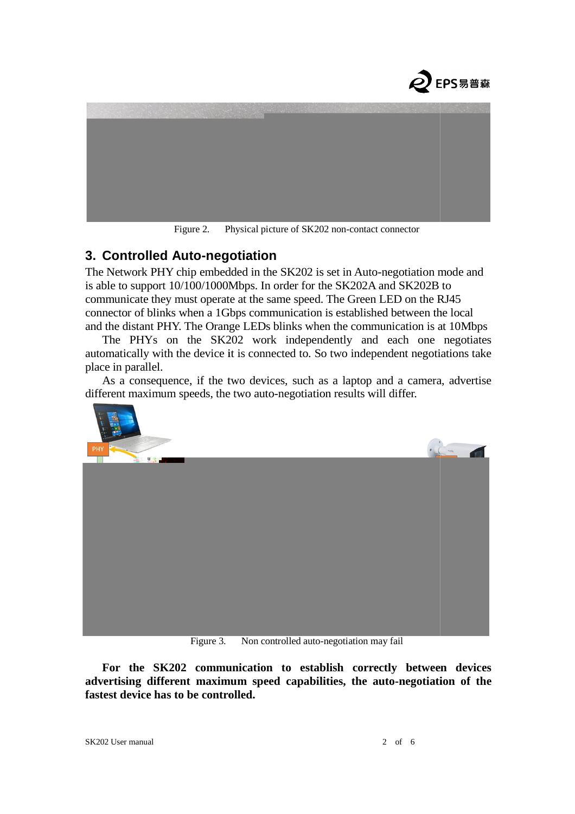



Figure 2. Physical picture of SK202 non-contact connector

#### **3. Controlled Auto-negotiation negotiation**

The Network PHY chip embedded in the SK202 is set in Auto-negotiation mode and is able to support 10/100/1000Mbps. In order for the SK202A and SK202B to is able to support 10/100/1000Mbps. In order for the SK202A and SK202B to communicate they must operate at the same speed. The Green LED on the RJ45 connector of blinks when a 1Gbps communication is established between the local and the distant PHY. The Orange LEDs blinks when the communication is at 10Mbps of blinks when a 1Gbps communication is established between the local<br>tant PHY. The Orange LEDs blinks when the communication is at 10Mbps<br>'HYs on the SK202 work independently and each one negotiates

The PHYs on the SK202 work independently and each one negotiates by matically with the device it is connected to. So two independent negotiations take automatically with the device it is connected to. So two independent negotiations take place in parallel. beta consequence, if the two devices, such as a laptop and a camera, advertise As a consequence, if the two devices, such as a laptop and a camera, advertise

different maximum speeds, the two auto-negotiation results will differ.



Figure 3. Non controlled auto-negotiation may fail

**For the SK202 communication to establish correctly between devices to establish between devices**  For the SK202 communication to establish correctly between devices advertising different maximum speed capabilities, the auto-negotiation of the **fastest device has to be controlled.**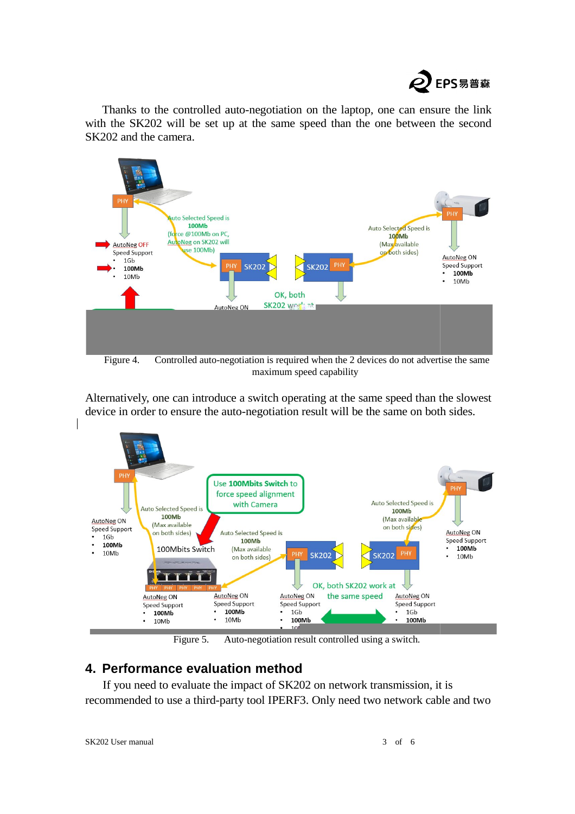

Thanks to the controlled auto-negotiation on the laptop, one can ensure the link<br>h the SK202 will be set up at the same speed than the one between the second with the SK202 will be set up at the same speed than the one between the second SK202 and the camera.



Figure 4. Controlled auto-negotiation is required when the 2 devices do not advertise the same maximum speed capability

Alternatively, one can introduce a switch operating at the same speed than the slowest device in order to ensure the auto-negotiation result will be the same on both sides.



Figure 5. Auto-negotiation result controlled using a switch.

#### **4. Performance evaluation method**

If you need to evaluate the impact of SK202 on network transmission, it is recommended to use a third-party tool IPERF3. Only need two network cable and two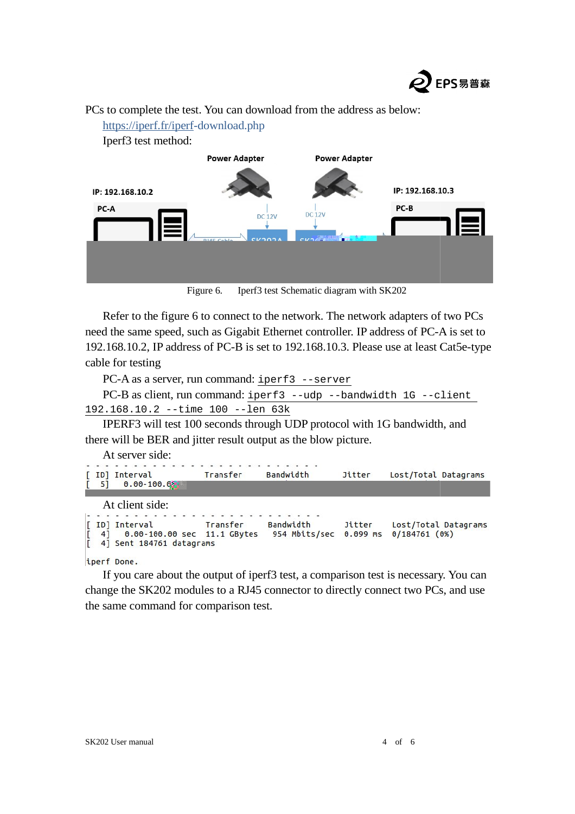

PCs to complete the test. You can download from the address as below:<br>https://iperf.fr/iperf-download.php

[https://iperf.fr/iperf-](https://iperf.fr/iperf)download.php Iperf3 test method: **Power Adapter Power Adapter** IP: 192.168.10.3 IP: 192.168.10.2 PC-B PC-A DC 12V  $DC12V$ 

Figure 6. Iperf3 test Schematic diagram with SK202

Refer to the figure 6 to connect to the network. The network adapters of two PCs need the same speed, such as G Gigabit Ethernet controller. IP address of PC-A A is set to 192.168.10.2, IP address of PC PC-B is set to 192.168.10.3. Please use at least Cat Cat5e-type cable for testing

PC-A as a server, run command: iperf3 --server

```
PC-B as client, run command: iperf3 --udp --bandwidth 1G --client
192.168.10.2 --time 100 --len 63k
```
IPERF3 will test 100 seconds through UDP protocol with 1G bandwidth, and e will be BER and jitter result output as the blow picture. there will be BER and jitter result output as the blow picture.

At server side:

| [ ID] Interval<br>$0.00 - 100.03$<br>$\begin{bmatrix} 5 \end{bmatrix}$ | Transfer | Bandwidth | Jitter | Lost/Total Datagrams |
|------------------------------------------------------------------------|----------|-----------|--------|----------------------|
| At client side:                                                        |          |           |        |                      |

```
Bandwidth
[ ID] Interval
                       Transfer
                                                    Jitter
                                                             Lost/Total Datagrams
       0.00-100.00 sec 11.1 GBytes
  4]954 Mbits/sec 0.099 ms 0/184761 (0%)
[ 4] Sent 184761 datagrams
```
iperf Done.

If you care about the output of iperf3 test, a comparison test is necessary. You can change the SK202 modules to a RJ45 connector to directly connect two PCs, and use the same command for comparison test.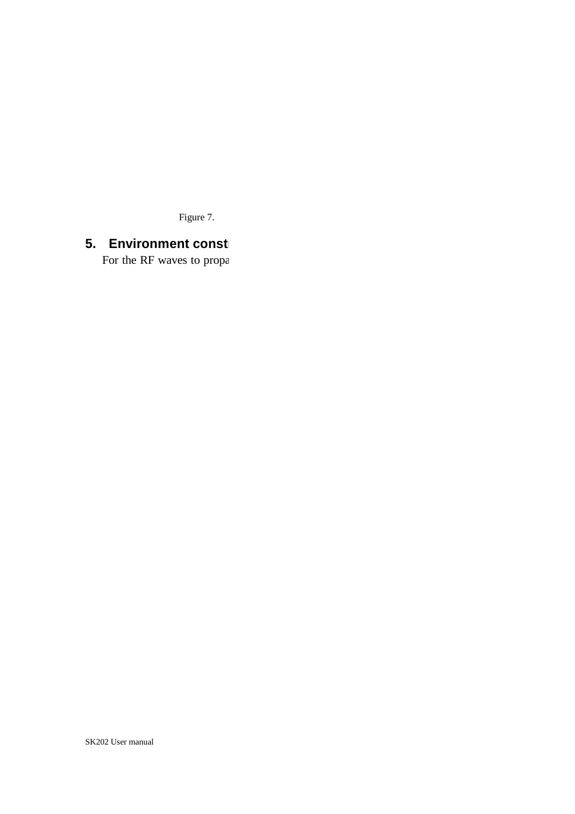Figure 7.

# **5. Environment const**

For the RF waves to propa